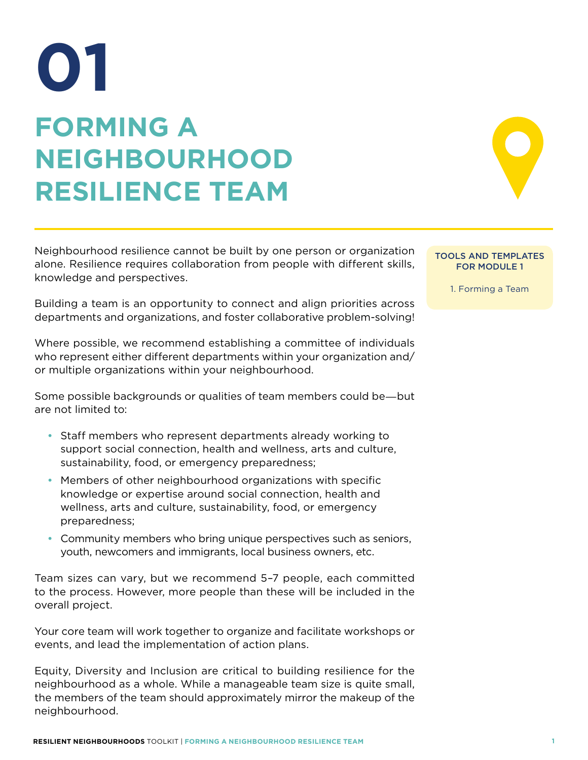## **FORMING A NEIGHBOURHOOD RESILIENCE TEAM 01**

Neighbourhood resilience cannot be built by one person or organization alone. Resilience requires collaboration from people with different skills, knowledge and perspectives.

Building a team is an opportunity to connect and align priorities across departments and organizations, and foster collaborative problem-solving!

Where possible, we recommend establishing a committee of individuals who represent either different departments within your organization and/ or multiple organizations within your neighbourhood.

Some possible backgrounds or qualities of team members could be―but are not limited to:

- Staff members who represent departments already working to support social connection, health and wellness, arts and culture, sustainability, food, or emergency preparedness;
- Members of other neighbourhood organizations with specific knowledge or expertise around social connection, health and wellness, arts and culture, sustainability, food, or emergency preparedness;
- Community members who bring unique perspectives such as seniors, youth, newcomers and immigrants, local business owners, etc.

Team sizes can vary, but we recommend 5–7 people, each committed to the process. However, more people than these will be included in the overall project.

Your core team will work together to organize and facilitate workshops or events, and lead the implementation of action plans.

Equity, Diversity and Inclusion are critical to building resilience for the neighbourhood as a whole. While a manageable team size is quite small, the members of the team should approximately mirror the makeup of the neighbourhood.

## TOOLS AND TEMPLATES FOR MODULE 1

1. Forming a Team